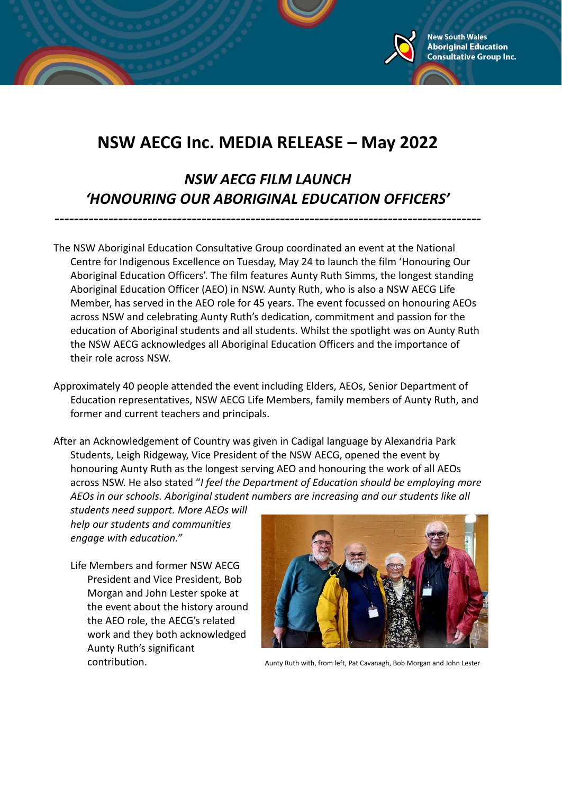

*NSW AECG FILM LAUNCH 'HONOURING OUR ABORIGINAL EDUCATION OFFICERS'*

*---------------------------------------------------------------------------------------*

The NSW Aboriginal Education Consultative Group coordinated an event at the National Centre for Indigenous Excellence on Tuesday, May 24 to launch the film 'Honouring Our Aboriginal Education Officers'. The film features Aunty Ruth Simms, the longest standing Aboriginal Education Officer (AEO) in NSW. Aunty Ruth, who is also a NSW AECG Life Member, has served in the AEO role for 45 years. The event focussed on honouring AEOs across NSW and celebrating Aunty Ruth's dedication, commitment and passion for the education of Aboriginal students and all students. Whilst the spotlight was on Aunty Ruth the NSW AECG acknowledges all Aboriginal Education Officers and the importance of their role across NSW.

Approximately 40 people attended the event including Elders, AEOs, Senior Department of Education representatives, NSW AECG Life Members, family members of Aunty Ruth, and former and current teachers and principals.

After an Acknowledgement of Country was given in Cadigal language by Alexandria Park Students, Leigh Ridgeway, Vice President of the NSW AECG, opened the event by honouring Aunty Ruth as the longest serving AEO and honouring the work of all AEOs across NSW. He also stated "*I feel the Department of Education should be employing more AEOs in our schools. Aboriginal student numbers are increasing and our students like all*

*students need support. More AEOs will help our students and communities engage with education."*

Life Members and former NSW AECG President and Vice President, Bob Morgan and John Lester spoke at the event about the history around the AEO role, the AECG's related work and they both acknowledged Aunty Ruth's significant



**New South Wales Aboriginal Education Consultative Group Inc.** 

contribution. Aunty Ruth with, from left, Pat Cavanagh, Bob Morgan and John Lester